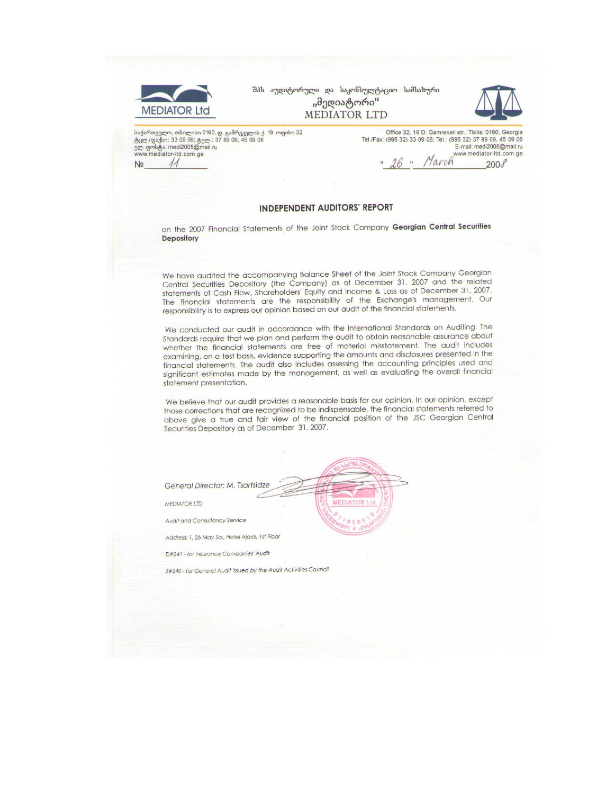| <b>MEDIATOR Ltd</b>                                                                                                                                                                   | შპს აუდიტორული და საკონსულტაციო სამსახური<br>"მედიატორი"<br><b>MEDIATOR LTD</b>                                                                                                 |
|---------------------------------------------------------------------------------------------------------------------------------------------------------------------------------------|---------------------------------------------------------------------------------------------------------------------------------------------------------------------------------|
| საქართველო, თბილისი 0160, დ. გამრეკელის ქ. 19, ოფისი 32<br>ტელ./ფაქსი: 33 09 06; ტელ.: 37 89 09, 45 09 06<br>ელ. ფოსტა: medi2005@mail.ru<br>www.mediator-Itd.com.ge<br>N <sub>2</sub> | Office 32, 19 D. Gamrekeli str., Tbilisi 0160, Georgia<br>Tel./Fax: (995 32) 33 09 06; Tel.: (995 32) 37 89 09, 45 09 06<br>E-mail: medi2005@mail.ru<br>www.mediator-Itd.com.ge |

#### **INDEPENDENT AUDITORS' REPORT**

on the 2007 Financial Statements of the Joint Stock Company Georgian Central Securities **Depository** 

We have audited the accompanying Balance Sheet of the Joint Stock Company Georgian Central Securities Depository (the Company) as of December 31, 2007 and the related statements of Cash Flow, Shareholders' Equity and Income & Loss as of December 31, 2007. The financial statements are the responsibility of the Exchange's management. Our responsibility is to express our opinion based on our audit of the financial statements.

We conducted our audit in accordance with the International Standards on Auditing. The Standards require that we plan and perform the audit to obtain reasonable assurance about whether the financial statements are free of material misstatement. The audit includes examining, on a test basis, evidence supporting the amounts and disclosures presented in the financial statements. The audit also includes assessing the accounting principles used and significant estimates made by the management, as well as evaluating the overall financial statement presentation.

We believe that our audit provides a reasonable basis for our opinion. In our opinion, except those corrections that are recognized to be indispensable, the financial statements referred to above give a true and fair view of the financial position of the JSC Georgian Central Securities Depository as of December 31, 2007.

MEDIATOR

General Director: M. Tsartsidze

**MEDIATOR LTD** 

Audit and Consultancy Service

Address: 1, 26 May Sq., Hotel Ajara, 1st Floor

D#241 - for Insurance Companies' Audit

Z#240 - for General Audit issued by the Audit Activities Council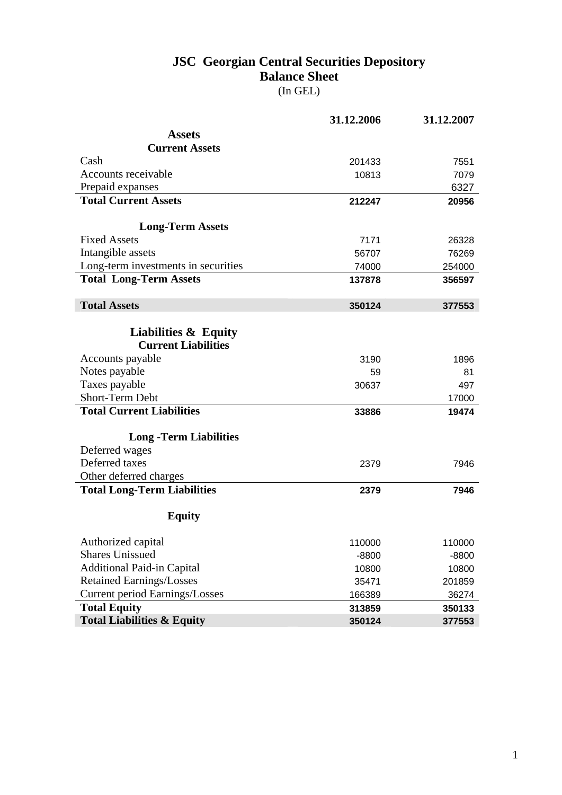## **JSC Georgian Central Securities Depository Balance Sheet**

|  | ır<br>ı | L T.P. |
|--|---------|--------|
|--|---------|--------|

|                                       | 31.12.2006 | 31.12.2007 |
|---------------------------------------|------------|------------|
| <b>Assets</b>                         |            |            |
| <b>Current Assets</b>                 |            |            |
| Cash                                  | 201433     | 7551       |
| Accounts receivable                   | 10813      | 7079       |
| Prepaid expanses                      |            | 6327       |
| <b>Total Current Assets</b>           | 212247     | 20956      |
|                                       |            |            |
| <b>Long-Term Assets</b>               |            |            |
| <b>Fixed Assets</b>                   | 7171       | 26328      |
| Intangible assets                     | 56707      | 76269      |
| Long-term investments in securities   | 74000      | 254000     |
| <b>Total Long-Term Assets</b>         | 137878     | 356597     |
|                                       |            |            |
| <b>Total Assets</b>                   | 350124     | 377553     |
|                                       |            |            |
| <b>Liabilities &amp; Equity</b>       |            |            |
| <b>Current Liabilities</b>            |            |            |
| Accounts payable                      | 3190       | 1896       |
| Notes payable                         | 59         | 81         |
| Taxes payable                         | 30637      | 497        |
| Short-Term Debt                       |            | 17000      |
| <b>Total Current Liabilities</b>      | 33886      | 19474      |
| <b>Long-Term Liabilities</b>          |            |            |
| Deferred wages                        |            |            |
| Deferred taxes                        | 2379       | 7946       |
| Other deferred charges                |            |            |
| <b>Total Long-Term Liabilities</b>    | 2379       | 7946       |
|                                       |            |            |
| <b>Equity</b>                         |            |            |
|                                       |            |            |
| Authorized capital                    | 110000     | 110000     |
| <b>Shares Unissued</b>                | $-8800$    | $-8800$    |
| <b>Additional Paid-in Capital</b>     | 10800      | 10800      |
| <b>Retained Earnings/Losses</b>       | 35471      | 201859     |
| <b>Current period Earnings/Losses</b> | 166389     | 36274      |
| <b>Total Equity</b>                   | 313859     | 350133     |
| <b>Total Liabilities &amp; Equity</b> | 350124     | 377553     |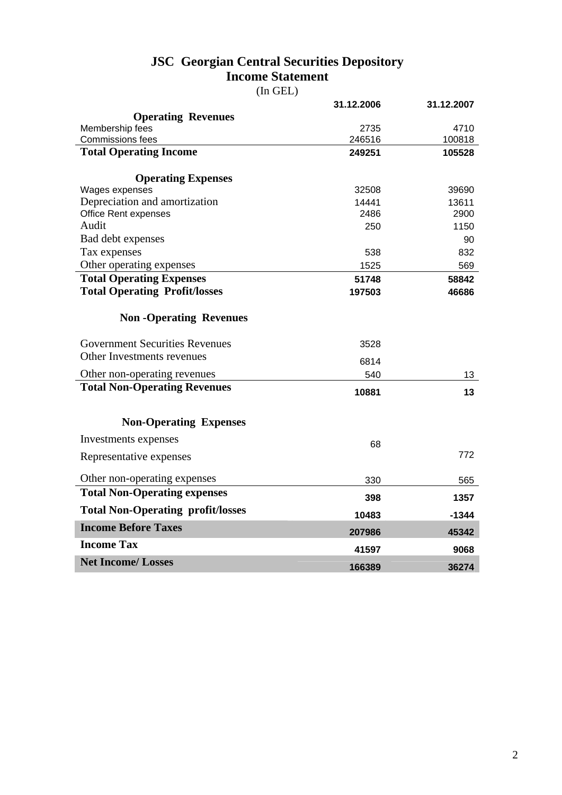### **JSC Georgian Central Securities Depository Income Statement**

(In GEL)

|                                                                     | 31.12.2006  | 31.12.2007 |
|---------------------------------------------------------------------|-------------|------------|
| <b>Operating Revenues</b>                                           |             |            |
| Membership fees                                                     | 2735        | 4710       |
| Commissions fees                                                    | 246516      | 100818     |
| <b>Total Operating Income</b>                                       | 249251      | 105528     |
|                                                                     |             |            |
| <b>Operating Expenses</b><br>Wages expenses                         | 32508       | 39690      |
| Depreciation and amortization                                       | 14441       | 13611      |
| <b>Office Rent expenses</b>                                         | 2486        | 2900       |
| Audit                                                               | 250         | 1150       |
| Bad debt expenses                                                   |             | 90         |
| Tax expenses                                                        | 538         | 832        |
| Other operating expenses                                            | 1525        | 569        |
| <b>Total Operating Expenses</b>                                     | 51748       | 58842      |
| <b>Total Operating Profit/losses</b>                                | 197503      | 46686      |
|                                                                     |             |            |
| <b>Non-Operating Revenues</b>                                       |             |            |
| <b>Government Securities Revenues</b>                               | 3528        |            |
| Other Investments revenues                                          |             |            |
|                                                                     | 6814<br>540 |            |
| Other non-operating revenues<br><b>Total Non-Operating Revenues</b> |             | 13         |
|                                                                     | 10881       | 13         |
|                                                                     |             |            |
| <b>Non-Operating Expenses</b>                                       |             |            |
| Investments expenses                                                | 68          |            |
| Representative expenses                                             |             | 772        |
| Other non-operating expenses                                        | 330         | 565        |
| <b>Total Non-Operating expenses</b>                                 |             |            |
|                                                                     | 398         | 1357       |
| <b>Total Non-Operating profit/losses</b>                            | 10483       | $-1344$    |
| <b>Income Before Taxes</b>                                          | 207986      | 45342      |
| <b>Income Tax</b>                                                   | 41597       | 9068       |
| <b>Net Income/Losses</b>                                            | 166389      | 36274      |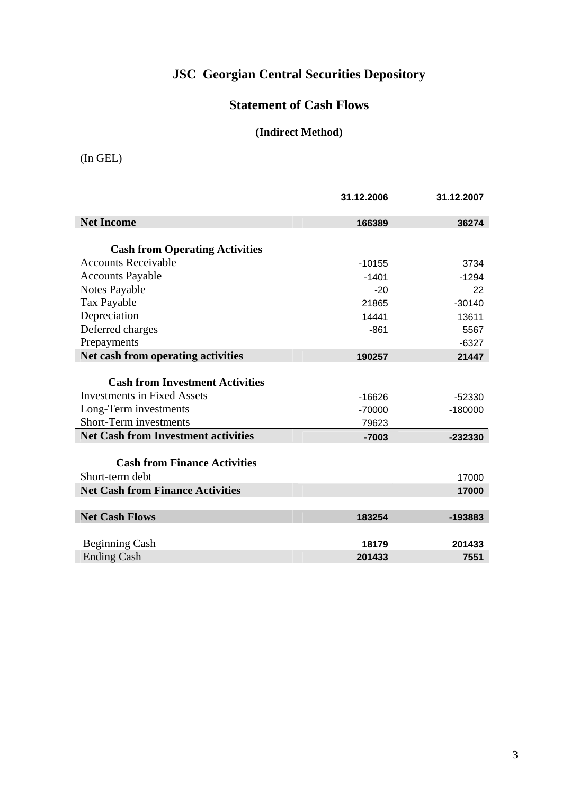# **JSC Georgian Central Securities Depository**

## **Statement of Cash Flows**

#### **(Indirect Method)**

(In GEL)

|                                            | 31.12.2006 | 31.12.2007 |
|--------------------------------------------|------------|------------|
| <b>Net Income</b>                          | 166389     | 36274      |
|                                            |            |            |
| <b>Cash from Operating Activities</b>      |            |            |
| <b>Accounts Receivable</b>                 | $-10155$   | 3734       |
| <b>Accounts Payable</b>                    | $-1401$    | $-1294$    |
| Notes Payable                              | $-20$      | 22         |
| Tax Payable                                | 21865      | $-30140$   |
| Depreciation                               | 14441      | 13611      |
| Deferred charges                           | $-861$     | 5567       |
| Prepayments                                |            | $-6327$    |
| Net cash from operating activities         | 190257     | 21447      |
|                                            |            |            |
| <b>Cash from Investment Activities</b>     |            |            |
| <b>Investments in Fixed Assets</b>         | $-16626$   | $-52330$   |
| Long-Term investments                      | $-70000$   | $-180000$  |
| <b>Short-Term investments</b>              | 79623      |            |
| <b>Net Cash from Investment activities</b> | $-7003$    | -232330    |
|                                            |            |            |
| <b>Cash from Finance Activities</b>        |            |            |
| Short-term debt                            |            | 17000      |
| <b>Net Cash from Finance Activities</b>    |            | 17000      |
|                                            |            |            |
| <b>Net Cash Flows</b>                      | 183254     | -193883    |
|                                            |            |            |
| <b>Beginning Cash</b>                      | 18179      | 201433     |
| <b>Ending Cash</b>                         | 201433     | 7551       |